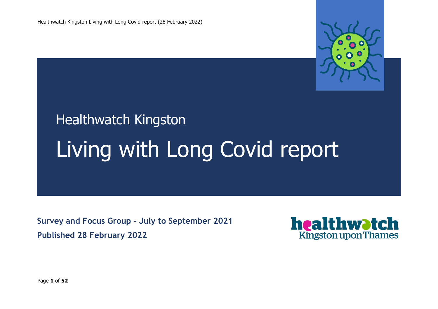

# Healthwatch Kingston Living with Long Covid report

**Survey and Focus Group – July to September 2021 Published 28 February 2022**



Page **1** of **52**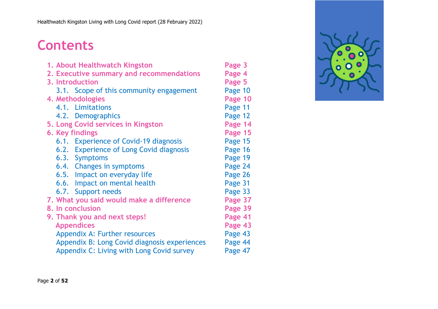# **Contents**

| 1. About Healthwatch Kingston                | Page 3  |
|----------------------------------------------|---------|
| 2. Executive summary and recommendations     | Page 4  |
| 3. Introduction                              | Page 5  |
| 3.1. Scope of this community engagement      | Page 10 |
| 4. Methodologies                             | Page 10 |
| 4.1. Limitations                             | Page 11 |
| 4.2. Demographics                            | Page 12 |
| 5. Long Covid services in Kingston           | Page 14 |
| 6. Key findings                              | Page 15 |
| 6.1. Experience of Covid-19 diagnosis        | Page 15 |
| 6.2. Experience of Long Covid diagnosis      | Page 16 |
| 6.3. Symptoms                                | Page 19 |
| 6.4. Changes in symptoms                     | Page 24 |
| 6.5. Impact on everyday life                 | Page 26 |
| 6.6. Impact on mental health                 | Page 31 |
| 6.7. Support needs                           | Page 33 |
| 7. What you said would make a difference     | Page 37 |
| 8. In conclusion                             | Page 39 |
| 9. Thank you and next steps!                 | Page 41 |
| <b>Appendices</b>                            | Page 43 |
| Appendix A: Further resources                | Page 43 |
| Appendix B: Long Covid diagnosis experiences | Page 44 |
| Appendix C: Living with Long Covid survey    | Page 47 |
|                                              |         |

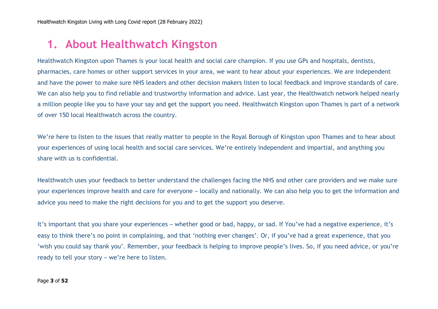# **1. About Healthwatch Kingston**

Healthwatch Kingston upon Thames is your local health and social care champion. If you use GPs and hospitals, dentists, pharmacies, care homes or other support services in your area, we want to hear about your experiences. We are independent and have the power to make sure NHS leaders and other decision makers listen to local feedback and improve standards of care. We can also help you to find reliable and trustworthy information and advice. Last year, the Healthwatch network helped nearly a million people like you to have your say and get the support you need. Healthwatch Kingston upon Thames is part of a network of over 150 local Healthwatch across the country.

We're here to listen to the issues that really matter to people in the Royal Borough of Kingston upon Thames and to hear about your experiences of using local health and social care services. We're entirely independent and impartial, and anything you share with us is confidential.

Healthwatch uses your feedback to better understand the challenges facing the NHS and other care providers and we make sure your experiences improve health and care for everyone – locally and nationally. We can also help you to get the information and advice you need to make the right decisions for you and to get the support you deserve.

It's important that you share your experiences – whether good or bad, happy, or sad. If You've had a negative experience, it's easy to think there's no point in complaining, and that 'nothing ever changes'. Or, if you've had a great experience, that you 'wish you could say thank you'. Remember, your feedback is helping to improve people's lives. So, if you need advice, or you're ready to tell your story – we're here to listen.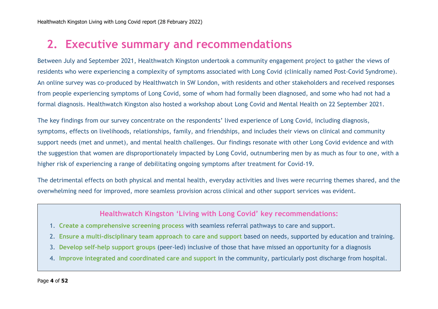# **2. Executive summary and recommendations**

Between July and September 2021, Healthwatch Kingston undertook a community engagement project to gather the views of residents who were experiencing a complexity of symptoms associated with Long Covid (clinically named Post-Covid Syndrome). An online survey was co-produced by Healthwatch in SW London, with residents and other stakeholders and received responses from people experiencing symptoms of Long Covid, some of whom had formally been diagnosed, and some who had not had a formal diagnosis. Healthwatch Kingston also hosted a workshop about Long Covid and Mental Health on 22 September 2021.

The key findings from our survey concentrate on the respondents' lived experience of Long Covid, including diagnosis, symptoms, effects on livelihoods, relationships, family, and friendships, and includes their views on clinical and community support needs (met and unmet), and mental health challenges. Our findings resonate with other Long Covid evidence and with the suggestion that women are disproportionately impacted by Long Covid, outnumbering men by as much as four to one, with a higher risk of experiencing a range of debilitating ongoing symptoms after treatment for Covid-19.

The detrimental effects on both physical and mental health, everyday activities and lives were recurring themes shared, and the overwhelming need for improved, more seamless provision across clinical and other support services was evident.

#### **Healthwatch Kingston 'Living with Long Covid' key recommendations:**

- 1. **Create a comprehensive screening process** with seamless referral pathways to care and support.
- 2. **Ensure a multi-disciplinary team approach to care and support** based on needs, supported by education and training.
- 3. **Develop self-help support groups** (peer-led) inclusive of those that have missed an opportunity for a diagnosis
- 4. **Improve integrated and coordinated care and support** in the community, particularly post discharge from hospital.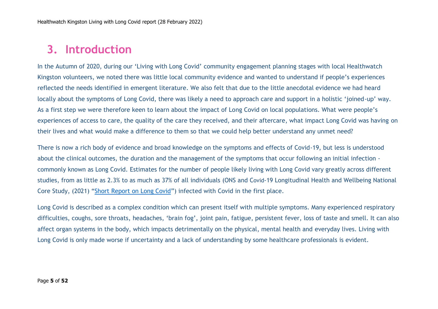## **3. Introduction**

In the Autumn of 2020, during our 'Living with Long Covid' community engagement planning stages with local Healthwatch Kingston volunteers, we noted there was little local community evidence and wanted to understand if people's experiences reflected the needs identified in emergent literature. We also felt that due to the little anecdotal evidence we had heard locally about the symptoms of Long Covid, there was likely a need to approach care and support in a holistic 'joined-up' way. As a first step we were therefore keen to learn about the impact of Long Covid on local populations. What were people's experiences of access to care, the quality of the care they received, and their aftercare, what impact Long Covid was having on their lives and what would make a difference to them so that we could help better understand any unmet need?

There is now a rich body of evidence and broad knowledge on the symptoms and effects of Covid-19, but less is understood about the clinical outcomes, the duration and the management of the symptoms that occur following an initial infection commonly known as Long Covid. Estimates for the number of people likely living with Long Covid vary greatly across different studies, from as little as 2.3% to as much as 37% of all individuals (ONS and Covid-19 Longitudinal Health and Wellbeing National Core Study, (2021) "[Short Report on Long Covid](https://www.gov.uk/government/publications/ons-short-report-on-long-covid-22-july-2021)") infected with Covid in the first place.

Long Covid is described as a complex condition which can present itself with multiple symptoms. Many experienced respiratory difficulties, coughs, sore throats, headaches, 'brain fog', joint pain, fatigue, persistent fever, loss of taste and smell. It can also affect organ systems in the body, which impacts detrimentally on the physical, mental health and everyday lives. Living with Long Covid is only made worse if uncertainty and a lack of understanding by some healthcare professionals is evident.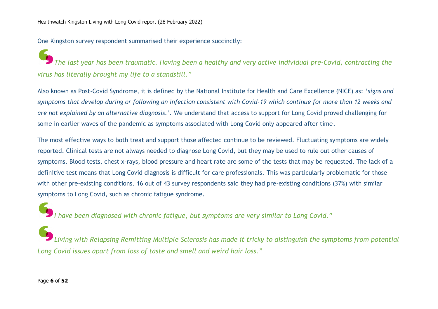One Kingston survey respondent summarised their experience succinctly:

*The last year has been traumatic. Having been a healthy and very active individual pre-Covid, contracting the virus has literally brought my life to a standstill."*

Also known as Post-Covid Syndrome, it is defined by the National Institute for Health and Care Excellence (NICE) as: '*signs and symptoms that develop during or following an infection consistent with Covid-19 which continue for more than 12 weeks and are not explained by an alternative diagnosis.'.* We understand that access to support for Long Covid proved challenging for some in earlier waves of the pandemic as symptoms associated with Long Covid only appeared after time.

The most effective ways to both treat and support those affected continue to be reviewed. Fluctuating symptoms are widely reported. Clinical tests are not always needed to diagnose Long Covid, but they may be used to rule out other causes of symptoms. Blood tests, chest x-rays, blood pressure and heart rate are some of the tests that may be requested. The lack of a definitive test means that Long Covid diagnosis is difficult for care professionals. This was particularly problematic for those with other pre-existing conditions. 16 out of 43 survey respondents said they had pre-existing conditions (37%) with similar symptoms to Long Covid, such as chronic fatigue syndrome.

*I have been diagnosed with chronic fatigue, but symptoms are very similar to Long Covid."*

*Living with Relapsing Remitting Multiple Sclerosis has made it tricky to distinguish the symptoms from potential Long Covid issues apart from loss of taste and smell and weird hair loss."*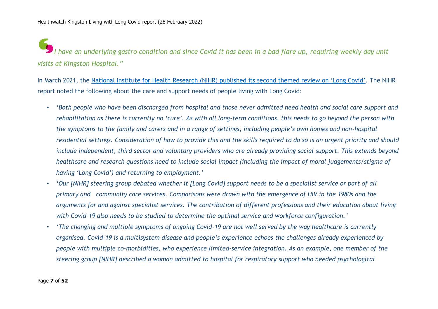*I have an underlying gastro condition and since Covid it has been in a bad flare up, requiring weekly day unit visits at Kingston Hospital."*

In March 2021, the National Institute for Health Research (NIHR) published its [second themed review on 'Long Covid'](https://www.nihr.ac.uk/news/nihr-publishes-second-themed-review-on-long-covid/27232). The NIHR report noted the following about the care and support needs of people living with Long Covid:

- *'Both people who have been discharged from hospital and those never admitted need health and social care support and rehabilitation as there is currently no 'cure'. As with all long-term conditions, this needs to go beyond the person with the symptoms to the family and carers and in a range of settings, including people's own homes and non-hospital residential settings. Consideration of how to provide this and the skills required to do so is an urgent priority and should include independent, third sector and voluntary providers who are already providing social support. This extends beyond healthcare and research questions need to include social impact (including the impact of moral judgements/stigma of having 'Long Covid') and returning to employment.'*
- *'Our [NIHR] steering group debated whether it [Long Covid] support needs to be a specialist service or part of all primary and community care services. Comparisons were drawn with the emergence of HIV in the 1980s and the arguments for and against specialist services. The contribution of different professions and their education about living with Covid-19 also needs to be studied to determine the optimal service and workforce configuration.'*
- *'The changing and multiple symptoms of ongoing Covid-19 are not well served by the way healthcare is currently organised. Covid-19 is a multisystem disease and people's experience echoes the challenges already experienced by people with multiple co-morbidities, who experience limited-service integration. As an example, one member of the steering group [NIHR] described a woman admitted to hospital for respiratory support who needed psychological*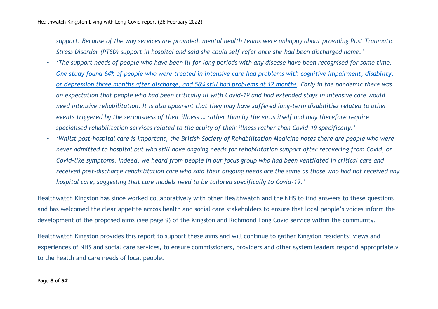*support. Because of the way services are provided, mental health teams were unhappy about providing Post Traumatic Stress Disorder (PTSD) support in hospital and said she could self-refer once she had been discharged home.'*

- *'The support needs of people who have been ill for long periods with any disease have been recognised for some time. [One study found 64% of people who were treated in intensive care had problems with cognitive impairment, disability,](https://evidence.nihr.ac.uk/themedreview/living-with-covid19/)  [or depression three months after discharge, and 56% still had problems at 12 months.](https://evidence.nihr.ac.uk/themedreview/living-with-covid19/) Early in the pandemic there was an expectation that people who had been critically ill with Covid-19 and had extended stays in intensive care would need intensive rehabilitation. It is also apparent that they may have suffered long-term disabilities related to other events triggered by the seriousness of their illness … rather than by the virus itself and may therefore require specialised rehabilitation services related to the acuity of their illness rather than Covid-19 specifically.'*
- *'Whilst post-hospital care is important, the British Society of Rehabilitation Medicine notes there are people who were never admitted to hospital but who still have ongoing needs for rehabilitation support after recovering from Covid, or Covid-like symptoms. Indeed, we heard from people in our focus group who had been ventilated in critical care and received post-discharge rehabilitation care who said their ongoing needs are the same as those who had not received any hospital care, suggesting that care models need to be tailored specifically to Covid-19.'*

Healthwatch Kingston has since worked collaboratively with other Healthwatch and the NHS to find answers to these questions and has welcomed the clear appetite across health and social care stakeholders to ensure that local people's voices inform the development of the proposed aims (see page 9) of the Kingston and Richmond Long Covid service within the community.

Healthwatch Kingston provides this report to support these aims and will continue to gather Kingston residents' views and experiences of NHS and social care services, to ensure commissioners, providers and other system leaders respond appropriately to the health and care needs of local people.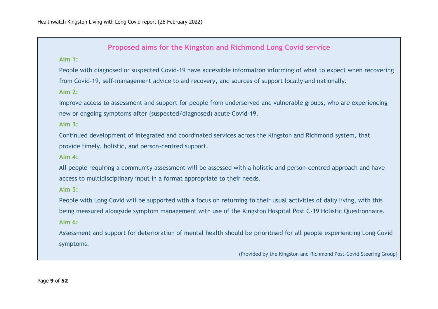#### **Proposed aims for the Kingston and Richmond Long Covid service**

**Aim 1:**

People with diagnosed or suspected Covid-19 have accessible information informing of what to expect when recovering from Covid-19, self-management advice to aid recovery, and sources of support locally and nationally.

**Aim 2:**

Improve access to assessment and support for people from underserved and vulnerable groups, who are experiencing new or ongoing symptoms after (suspected/diagnosed) acute Covid-19.

**Aim 3:**

Continued development of integrated and coordinated services across the Kingston and Richmond system, that provide timely, holistic, and person-centred support.

**Aim 4:**

All people requiring a community assessment will be assessed with a holistic and person-centred approach and have access to multidisciplinary input in a format appropriate to their needs.

**Aim 5:**

People with Long Covid will be supported with a focus on returning to their usual activities of daily living, with this being measured alongside symptom management with use of the Kingston Hospital Post C-19 Holistic Questionnaire. **Aim 6:**

Assessment and support for deterioration of mental health should be prioritised for all people experiencing Long Covid symptoms.

(Provided by the Kingston and Richmond Post-Covid Steering Group)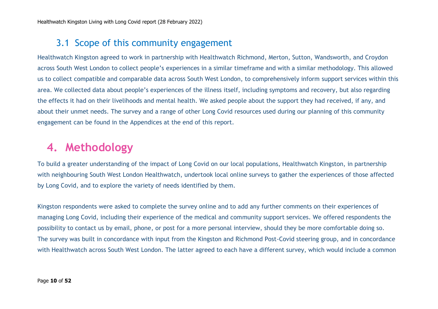### 3.1 Scope of this community engagement

Healthwatch Kingston agreed to work in partnership with Healthwatch Richmond, Merton, Sutton, Wandsworth, and Croydon across South West London to collect people's experiences in a similar timeframe and with a similar methodology. This allowed us to collect compatible and comparable data across South West London, to comprehensively inform support services within this area. We collected data about people's experiences of the illness itself, including symptoms and recovery, but also regarding the effects it had on their livelihoods and mental health. We asked people about the support they had received, if any, and about their unmet needs. The survey and a range of other Long Covid resources used during our planning of this community engagement can be found in the Appendices at the end of this report.

# **4. Methodology**

To build a greater understanding of the impact of Long Covid on our local populations, Healthwatch Kingston, in partnership with neighbouring South West London Healthwatch, undertook local online surveys to gather the experiences of those affected by Long Covid, and to explore the variety of needs identified by them.

Kingston respondents were asked to complete the survey online and to add any further comments on their experiences of managing Long Covid, including their experience of the medical and community support services. We offered respondents the possibility to contact us by email, phone, or post for a more personal interview, should they be more comfortable doing so. The survey was built in concordance with input from the Kingston and Richmond Post-Covid steering group, and in concordance with Healthwatch across South West London. The latter agreed to each have a different survey, which would include a common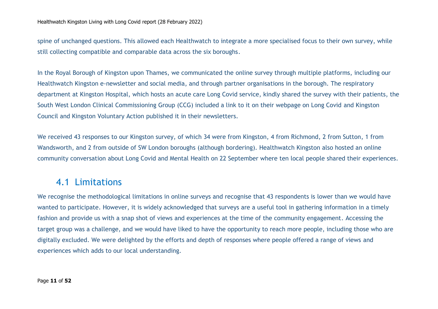spine of unchanged questions. This allowed each Healthwatch to integrate a more specialised focus to their own survey, while still collecting compatible and comparable data across the six boroughs.

In the Royal Borough of Kingston upon Thames, we communicated the online survey through multiple platforms, including our Healthwatch Kingston e-newsletter and social media, and through partner organisations in the borough. The respiratory department at Kingston Hospital, which hosts an acute care Long Covid service, kindly shared the survey with their patients, the South West London Clinical Commissioning Group (CCG) included a link to it on their webpage on Long Covid and Kingston Council and Kingston Voluntary Action published it in their newsletters.

We received 43 responses to our Kingston survey, of which 34 were from Kingston, 4 from Richmond, 2 from Sutton, 1 from Wandsworth, and 2 from outside of SW London boroughs (although bordering). Healthwatch Kingston also hosted an online community conversation about Long Covid and Mental Health on 22 September where ten local people shared their experiences.

### 4.1 Limitations

We recognise the methodological limitations in online surveys and recognise that 43 respondents is lower than we would have wanted to participate. However, it is widely acknowledged that surveys are a useful tool in gathering information in a timely fashion and provide us with a snap shot of views and experiences at the time of the community engagement. Accessing the target group was a challenge, and we would have liked to have the opportunity to reach more people, including those who are digitally excluded. We were delighted by the efforts and depth of responses where people offered a range of views and experiences which adds to our local understanding.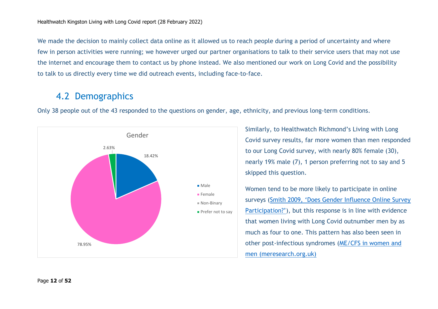We made the decision to mainly collect data online as it allowed us to reach people during a period of uncertainty and where few in person activities were running; we however urged our partner organisations to talk to their service users that may not use the internet and encourage them to contact us by phone instead. We also mentioned our work on Long Covid and the possibility to talk to us directly every time we did outreach events, including face-to-face.

### 4.2 Demographics

Only 38 people out of the 43 responded to the questions on gender, age, ethnicity, and previous long-term conditions.



Similarly, to Healthwatch Richmond's Living with Long Covid survey results, far more women than men responded to our Long Covid survey, with nearly 80% female (30), nearly 19% male (7), 1 person preferring not to say and 5 skipped this question.

Women tend to be more likely to participate in online surveys ([Smith 2009, 'Does Gender Influence Online Survey](https://eric.ed.gov/?id=ED501717)  [Participation?'](https://eric.ed.gov/?id=ED501717)), but this response is in line with evidence that women living with Long Covid outnumber men by as much as four to one. This pattern has also been seen in other post-infectious syndromes [\(ME/CFS in women and](https://www.meresearch.org.uk/sex-differences-in-mecfs/)  [men \(meresearch.org.uk\)](https://www.meresearch.org.uk/sex-differences-in-mecfs/)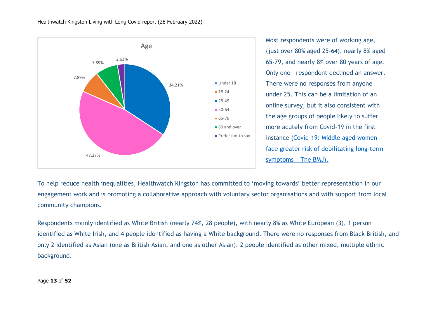

Most respondents were of working age, (just over 80% aged 25-64), nearly 8% aged 65-79, and nearly 8% over 80 years of age. Only one respondent declined an answer. There were no responses from anyone under 25. **T**his can be a limitation of an online survey, but it also consistent with the age groups of people likely to suffer more acutely from Covid-19 in the first instance [\(Covid-19: Middle aged women](https://www.bmj.com/content/372/bmj.n829)  [face greater risk of debilitating long-term](https://www.bmj.com/content/372/bmj.n829) [symptoms | The BMJ\)](https://www.bmj.com/content/372/bmj.n829).

To help reduce health inequalities, Healthwatch Kingston has committed to 'moving towards' better representation in our engagement work and is promoting a collaborative approach with voluntary sector organisations and with support from local community champions.

Respondents mainly identified as White British (nearly 74%, 28 people), with nearly 8% as White European (3), 1 person identified as White Irish, and 4 people identified as having a White background. There were no responses from Black British, and only 2 identified as Asian (one as British Asian, and one as other Asian). 2 people identified as other mixed, multiple ethnic background.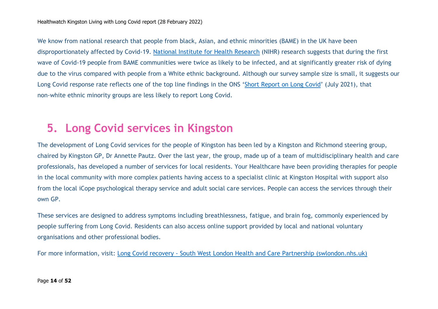We know from national research that people from black, Asian, and ethnic minorities (BAME) in the UK have been disproportionately affected by Covid-19. [National Institute for Health Research](https://www.nihr.ac.uk/) (NIHR) research suggests that during the first wave of Covid-19 people from BAME communities were twice as likely to be infected, and at significantly greater risk of dying due to the virus compared with people from a White ethnic background. Although our survey sample size is small, it suggests our Long Covid response rate reflects one of the top line findings in the ONS '[Short Report on Long Covid](https://www.gov.uk/government/publications/ons-short-report-on-long-covid-22-july-2021)' (July 2021), that non-white ethnic minority groups are less likely to report Long Covid.

## **5. Long Covid services in Kingston**

The development of Long Covid services for the people of Kingston has been led by a Kingston and Richmond steering group, chaired by Kingston GP, Dr Annette Pautz. Over the last year, the group, made up of a team of multidisciplinary health and care professionals, has developed a number of services for local residents. Your Healthcare have been providing therapies for people in the local community with more complex patients having access to a specialist clinic at Kingston Hospital with support also from the local iCope psychological therapy service and adult social care services. People can access the services through their own GP.

These services are designed to address symptoms including breathlessness, fatigue, and brain fog, commonly experienced by people suffering from Long Covid. Residents can also access online support provided by local and national voluntary organisations and other professional bodies.

For more information, visit: Long Covid recovery - [South West London Health and Care Partnership \(swlondon.nhs.uk\)](https://www.swlondon.nhs.uk/ourwork/long-covid-recovery/)

#### Page **14** of **52**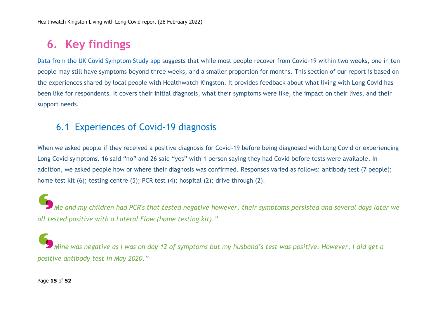# **6. Key findings**

[Data from the UK Covid](file:///C:/Users/CandyDunne/AppData/Local/Microsoft/Windows/INetCache/Content.Outlook/3EWIPAN4/COVID%20Symptom%20Study,%202020.%20How%20long%20does%20COVID%20last%3f.%20Available%20from: https:/covid.joinzoe.com/post/covid-long-term) Symptom Study app suggests that while most people recover from Covid-19 within two weeks, one in ten people may still have symptoms beyond three weeks, and a smaller proportion for months. This section of our report is based on the experiences shared by local people with Healthwatch Kingston. It provides feedback about what living with Long Covid has been like for respondents. It covers their initial diagnosis, what their symptoms were like, the impact on their lives, and their support needs.

### 6.1 Experiences of Covid-19 diagnosis

When we asked people if they received a positive diagnosis for Covid-19 before being diagnosed with Long Covid or experiencing Long Covid symptoms. 16 said "no" and 26 said "yes" with 1 person saying they had Covid before tests were available. In addition, we asked people how or where their diagnosis was confirmed. Responses varied as follows: antibody test (7 people); home test kit (6); testing centre (5); PCR test (4); hospital (2); drive through (2).

*Me and my children had PCR's that tested negative however, their symptoms persisted and several days later we all tested positive with a Lateral Flow (home testing kit)."*

*Mine was negative as I was on day 12 of symptoms but my husband's test was positive. However, I did get a positive antibody test in May 2020."*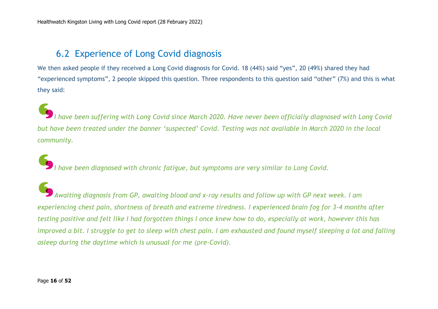### 6.2 Experience of Long Covid diagnosis

We then asked people if they received a Long Covid diagnosis for Covid. 18 (44%) said "yes", 20 (49%) shared they had "experienced symptoms", 2 people skipped this question. Three respondents to this question said "other" (7%) and this is what they said:

*I have been suffering with Long Covid since March 2020. Have never been officially diagnosed with Long Covid but have been treated under the banner 'suspected' Covid. Testing was not available in March 2020 in the local community.*

*I have been diagnosed with chronic fatigue, but symptoms are very similar to Long Covid.*

*Awaiting diagnosis from GP, awaiting blood and x-ray results and follow up with GP next week. I am experiencing chest pain, shortness of breath and extreme tiredness. I experienced brain fog for 3-4 months after testing positive and felt like I had forgotten things I once knew how to do, especially at work, however this has improved a bit. I struggle to get to sleep with chest pain. I am exhausted and found myself sleeping a lot and falling asleep during the daytime which is unusual for me (pre-Covid).*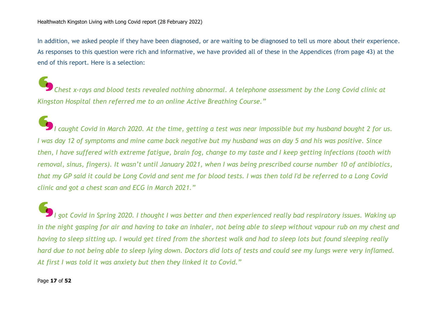In addition, we asked people if they have been diagnosed, or are waiting to be diagnosed to tell us more about their experience. As responses to this question were rich and informative, we have provided all of these in the Appendices (from page 43) at the end of this report. Here is a selection:

*Chest x-rays and blood tests revealed nothing abnormal. A telephone assessment by the Long Covid clinic at Kingston Hospital then referred me to an online Active Breathing Course."*

*I caught Covid in March 2020. At the time, getting a test was near impossible but my husband bought 2 for us. I was day 12 of symptoms and mine came back negative but my husband was on day 5 and his was positive. Since then, I have suffered with extreme fatigue, brain fog, change to my taste and I keep getting infections (tooth with removal, sinus, fingers). It wasn't until January 2021, when I was being prescribed course number 10 of antibiotics, that my GP said it could be Long Covid and sent me for blood tests. I was then told I'd be referred to a Long Covid clinic and got a chest scan and ECG in March 2021."*

*I got Covid in Spring 2020. I thought I was better and then experienced really bad respiratory issues. Waking up in the night gasping for air and having to take an inhaler, not being able to sleep without vapour rub on my chest and having to sleep sitting up. I would get tired from the shortest walk and had to sleep lots but found sleeping really hard due to not being able to sleep lying down. Doctors did lots of tests and could see my lungs were very inflamed. At first I was told it was anxiety but then they linked it to Covid."*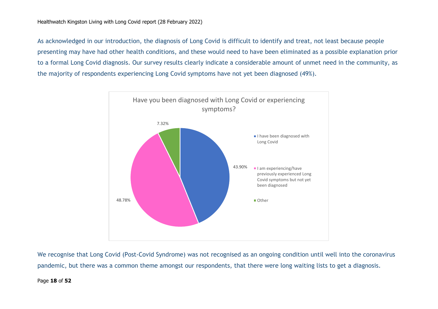As acknowledged in our introduction, the diagnosis of Long Covid is difficult to identify and treat, not least because people presenting may have had other health conditions, and these would need to have been eliminated as a possible explanation prior to a formal Long Covid diagnosis. Our survey results clearly indicate a considerable amount of unmet need in the community, as the majority of respondents experiencing Long Covid symptoms have not yet been diagnosed (49%).



We recognise that Long Covid (Post-Covid Syndrome) was not recognised as an ongoing condition until well into the coronavirus pandemic, but there was a common theme amongst our respondents, that there were long waiting lists to get a diagnosis.

#### Page **18** of **52**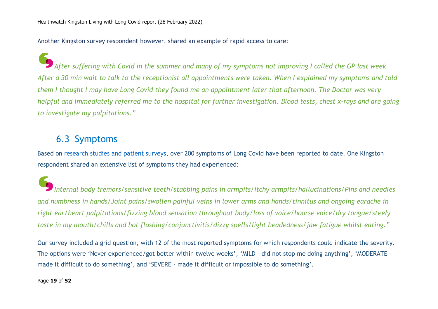Another Kingston survey respondent however, shared an example of rapid access to care:

*After suffering with Covid in the summer and many of my symptoms not improving I called the GP last week. After a 30 min wait to talk to the receptionist all appointments were taken. When I explained my symptoms and told them I thought I may have Long Covid they found me an appointment later that afternoon. The Doctor was very helpful and immediately referred me to the hospital for further investigation. Blood tests, chest x-rays and are going to investigate my palpitations."*

### 6.3 Symptoms

Based on [research studies and patient surveys,](https://evidence.nihr.ac.uk/themedreview/living-with-covid19) over 200 symptoms of Long Covid have been reported to date. One Kingston respondent shared an extensive list of symptoms they had experienced:

*Internal body tremors/sensitive teeth/stabbing pains in armpits/itchy armpits/hallucinations/Pins and needles and numbness in hands/Joint pains/swollen painful veins in lower arms and hands/tinnitus and ongoing earache in right ear/heart palpitations/fizzing blood sensation throughout body/loss of voice/hoarse voice/dry tongue/steely taste in my mouth/chills and hot flushing/conjunctivitis/dizzy spells/light headedness/jaw fatigue whilst eating."* 

Our survey included a grid question, with 12 of the most reported symptoms for which respondents could indicate the severity. The options were 'Never experienced/got better within twelve weeks', 'MILD - did not stop me doing anything', 'MODERATE made it difficult to do something', and 'SEVERE - made it difficult or impossible to do something'.

#### Page **19** of **52**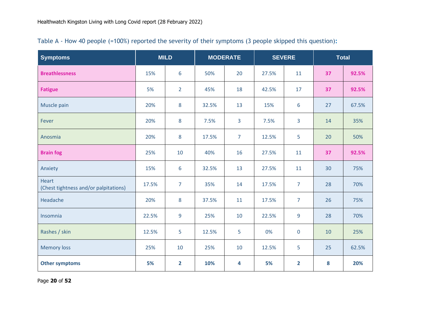| <b>Symptoms</b>                                       | <b>MILD</b><br><b>MODERATE</b> |                | <b>SEVERE</b> |                | <b>Total</b> |                |    |       |
|-------------------------------------------------------|--------------------------------|----------------|---------------|----------------|--------------|----------------|----|-------|
| <b>Breathlessness</b>                                 | 15%                            | 6              | 50%           | 20             | 27.5%        | 11             | 37 | 92.5% |
| <b>Fatigue</b>                                        | 5%                             | $\overline{2}$ | 45%           | 18             | 42.5%        | 17             | 37 | 92.5% |
| Muscle pain                                           | 20%                            | 8              | 32.5%         | 13             | 15%          | 6              | 27 | 67.5% |
| Fever                                                 | 20%                            | 8              | 7.5%          | 3              | 7.5%         | 3              | 14 | 35%   |
| Anosmia                                               | 20%                            | $8\phantom{1}$ | 17.5%         | $\overline{7}$ | 12.5%        | 5              | 20 | 50%   |
| <b>Brain fog</b>                                      | 25%                            | 10             | 40%           | 16             | 27.5%        | 11             | 37 | 92.5% |
| Anxiety                                               | 15%                            | 6              | 32.5%         | 13             | 27.5%        | 11             | 30 | 75%   |
| <b>Heart</b><br>(Chest tightness and/or palpitations) | 17.5%                          | $\overline{7}$ | 35%           | 14             | 17.5%        | $\overline{7}$ | 28 | 70%   |
| Headache                                              | 20%                            | 8              | 37.5%         | 11             | 17.5%        | $\overline{7}$ | 26 | 75%   |
| Insomnia                                              | 22.5%                          | 9              | 25%           | 10             | 22.5%        | 9              | 28 | 70%   |
| Rashes / skin                                         | 12.5%                          | 5              | 12.5%         | 5              | 0%           | $\mathbf 0$    | 10 | 25%   |
| <b>Memory loss</b>                                    | 25%                            | 10             | 25%           | 10             | 12.5%        | 5              | 25 | 62.5% |
| <b>Other symptoms</b>                                 | 5%                             | $\overline{2}$ | 10%           | 4              | 5%           | $\overline{2}$ | 8  | 20%   |

| Table A - How 40 people (=100%) reported the severity of their symptoms (3 people skipped this question): |  |  |  |  |  |  |  |  |
|-----------------------------------------------------------------------------------------------------------|--|--|--|--|--|--|--|--|
|-----------------------------------------------------------------------------------------------------------|--|--|--|--|--|--|--|--|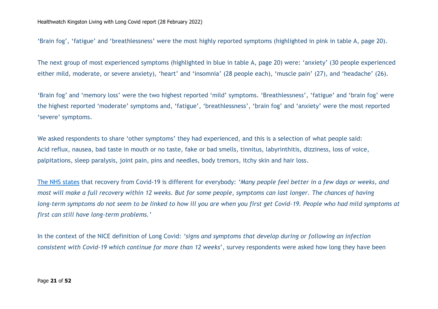'Brain fog', 'fatigue' and 'breathlessness' were the most highly reported symptoms (highlighted in pink in table A, page 20).

The next group of most experienced symptoms (highlighted in blue in table A, page 20) were: 'anxiety' (30 people experienced either mild, moderate, or severe anxiety), 'heart' and 'insomnia' (28 people each), 'muscle pain' (27), and 'headache' (26).

'Brain fog' and 'memory loss' were the two highest reported 'mild' symptoms. 'Breathlessness', 'fatigue' and 'brain fog' were the highest reported 'moderate' symptoms and, 'fatigue', 'breathlessness', 'brain fog' and 'anxiety' were the most reported 'severe' symptoms.

We asked respondents to share 'other symptoms' they had experienced, and this is a selection of what people said: Acid reflux, nausea, bad taste in mouth or no taste, fake or bad smells, tinnitus, labyrinthitis, dizziness, loss of voice, palpitations, sleep paralysis, joint pain, pins and needles, body tremors, itchy skin and hair loss.

[The NHS states](https://www.nhs.uk/conditions/coronavirus-covid-19/long-term-effects-of-coronavirus-long-covid/) that recovery from Covid-19 is different for everybody: *'Many people feel better in a few days or weeks, and most will make a full recovery within 12 weeks. But for some people, symptoms can last longer. The chances of having long-term symptoms do not seem to be linked to how ill you are when you first get Covid-19. People who had mild symptoms at first can still have long-term problems.'*

In the context of the NICE definition of Long Covid: *'signs and symptoms that develop during or following an infection consistent with Covid-19 which continue for more than 12 weeks*', survey respondents were asked how long they have been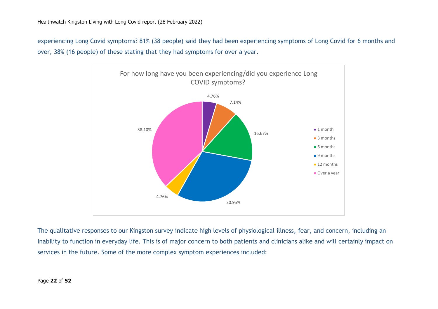experiencing Long Covid symptoms? 81% (38 people) said they had been experiencing symptoms of Long Covid for 6 months and over, 38% (16 people) of these stating that they had symptoms for over a year.



The qualitative responses to our Kingston survey indicate high levels of physiological illness, fear, and concern, including an inability to function in everyday life. This is of major concern to both patients and clinicians alike and will certainly impact on services in the future. Some of the more complex symptom experiences included: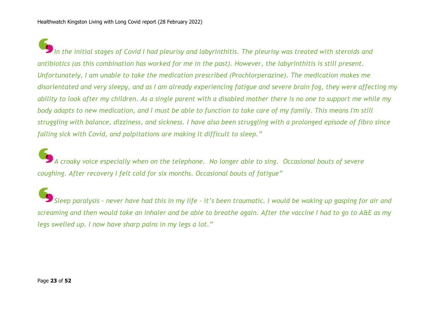*In the initial stages of Covid I had pleurisy and labyrinthitis. The pleurisy was treated with steroids and antibiotics (as this combination has worked for me in the past). However, the labyrinthitis is still present. Unfortunately, I am unable to take the medication prescribed (Prochlorperazine). The medication makes me disorientated and very sleepy, and as I am already experiencing fatigue and severe brain fog, they were affecting my ability to look after my children. As a single parent with a disabled mother there is no one to support me while my body adapts to new medication, and I must be able to function to take care of my family. This means I'm still struggling with balance, dizziness, and sickness. I have also been struggling with a prolonged episode of fibro since falling sick with Covid, and palpitations are making it difficult to sleep."*

*A croaky voice especially when on the telephone. No longer able to sing. Occasional bouts of severe coughing. After recovery I felt cold for six months. Occasional bouts of fatigue"*

*Sleep paralysis - never have had this in my life - it's been traumatic. I would be waking up gasping for air and screaming and then would take an inhaler and be able to breathe again. After the vaccine I had to go to A&E as my legs swelled up. I now have sharp pains in my legs a lot."*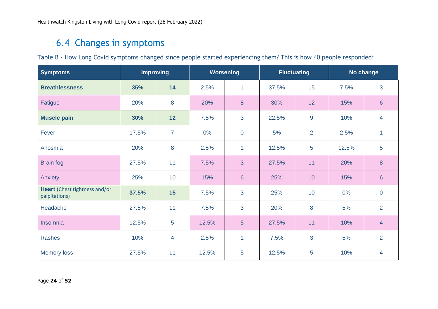### 6.4 Changes in symptoms

Table B - How Long Covid symptoms changed since people started experiencing them? This is how 40 people responded:

| <b>Symptoms</b>                                |       | <b>Improving</b> | <b>Worsening</b> |                | <b>Fluctuating</b> |    | No change |                |
|------------------------------------------------|-------|------------------|------------------|----------------|--------------------|----|-----------|----------------|
| <b>Breathlessness</b>                          | 35%   | 14               | 2.5%             | $\mathbf{1}$   | 37.5%              | 15 | 7.5%      | 3              |
| Fatigue                                        | 20%   | 8                | 20%              | 8              | 30%                | 12 | 15%       | $6\phantom{1}$ |
| <b>Muscle pain</b>                             | 30%   | 12               | 7.5%             | 3              | 22.5%              | 9  | 10%       | 4              |
| Fever                                          | 17.5% | $\overline{7}$   | $0\%$            | $\mathbf 0$    | 5%                 | 2  | 2.5%      | 1              |
| Anosmia                                        | 20%   | 8                | 2.5%             | $\mathbf{1}$   | 12.5%              | 5  | 12.5%     | 5              |
| <b>Brain fog</b>                               | 27.5% | 11               | 7.5%             | 3              | 27.5%              | 11 | 20%       | 8              |
| Anxiety                                        | 25%   | 10               | 15%              | $6\phantom{1}$ | 25%                | 10 | 15%       | $6\phantom{1}$ |
| Heart (Chest tightness and/or<br>palpitations) | 37.5% | 15               | 7.5%             | 3              | 25%                | 10 | 0%        | $\overline{0}$ |
| Headache                                       | 27.5% | 11               | 7.5%             | 3              | 20%                | 8  | 5%        | $\overline{2}$ |
| Insomnia                                       | 12.5% | 5                | 12.5%            | 5              | 27.5%              | 11 | 10%       | $\overline{4}$ |
| <b>Rashes</b>                                  | 10%   | 4                | 2.5%             | $\mathbf{1}$   | 7.5%               | 3  | 5%        | $\overline{2}$ |
| <b>Memory loss</b>                             | 27.5% | 11               | 12.5%            | 5              | 12.5%              | 5  | 10%       | 4              |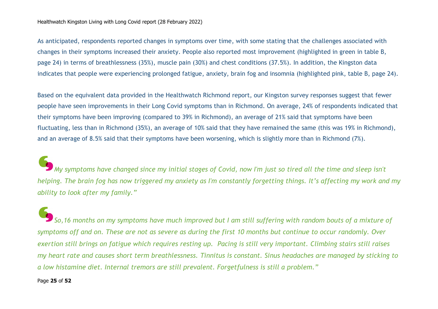#### Healthwatch Kingston Living with Long Covid report (28 February 2022)

As anticipated, respondents reported changes in symptoms over time, with some stating that the challenges associated with changes in their symptoms increased their anxiety. People also reported most improvement (highlighted in green in table B, page 24) in terms of breathlessness (35%), muscle pain (30%) and chest conditions (37.5%). In addition, the Kingston data indicates that people were experiencing prolonged fatigue, anxiety, brain fog and insomnia (highlighted pink, table B, page 24).

Based on the equivalent data provided in the Healthwatch Richmond report, our Kingston survey responses suggest that fewer people have seen improvements in their Long Covid symptoms than in Richmond. On average, 24% of respondents indicated that their symptoms have been improving (compared to 39% in Richmond), an average of 21% said that symptoms have been fluctuating, less than in Richmond (35%), an average of 10% said that they have remained the same (this was 19% in Richmond), and an average of 8.5% said that their symptoms have been worsening, which is slightly more than in Richmond (7%).

*My symptoms have changed since my initial stages of Covid, now I'm just so tired all the time and sleep isn't helping. The brain fog has now triggered my anxiety as I'm constantly forgetting things. It's affecting my work and my ability to look after my family."*

*So,16 months on my symptoms have much improved but I am still suffering with random bouts of a mixture of symptoms off and on. These are not as severe as during the first 10 months but continue to occur randomly. Over exertion still brings on fatigue which requires resting up. Pacing is still very important. Climbing stairs still raises my heart rate and causes short term breathlessness. Tinnitus is constant. Sinus headaches are managed by sticking to a low histamine diet. Internal tremors are still prevalent. Forgetfulness is still a problem."*

#### Page **25** of **52**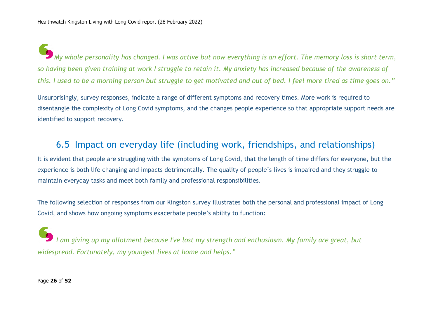*My whole personality has changed. I was active but now everything is an effort. The memory loss is short term, so having been given training at work I struggle to retain it. My anxiety has increased because of the awareness of this. I used to be a morning person but struggle to get motivated and out of bed. I feel more tired as time goes on."*

Unsurprisingly, survey responses, indicate a range of different symptoms and recovery times. More work is required to disentangle the complexity of Long Covid symptoms, and the changes people experience so that appropriate support needs are identified to support recovery.

### 6.5 Impact on everyday life (including work, friendships, and relationships)

It is evident that people are struggling with the symptoms of Long Covid, that the length of time differs for everyone, but the experience is both life changing and impacts detrimentally. The quality of people's lives is impaired and they struggle to maintain everyday tasks and meet both family and professional responsibilities.

The following selection of responses from our Kingston survey illustrates both the personal and professional impact of Long Covid, and shows how ongoing symptoms exacerbate people's ability to function:

*I am giving up my allotment because I've lost my strength and enthusiasm. My family are great, but widespread. Fortunately, my youngest lives at home and helps."*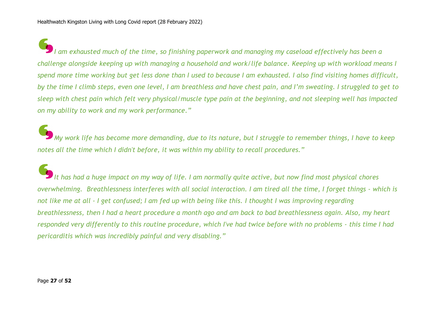*I am exhausted much of the time, so finishing paperwork and managing my caseload effectively has been a challenge alongside keeping up with managing a household and work/life balance. Keeping up with workload means I spend more time working but get less done than I used to because I am exhausted. I also find visiting homes difficult, by the time I climb steps, even one level, I am breathless and have chest pain, and I'm sweating. I struggled to get to sleep with chest pain which felt very physical/muscle type pain at the beginning, and not sleeping well has impacted on my ability to work and my work performance."*

*My work life has become more demanding, due to its nature, but I struggle to remember things, I have to keep notes all the time which I didn't before, it was within my ability to recall procedures."*

*It has had a huge impact on my way of life. I am normally quite active, but now find most physical chores overwhelming. Breathlessness interferes with all social interaction. I am tired all the time, I forget things - which is not like me at all - I get confused; I am fed up with being like this. I thought I was improving regarding breathlessness, then I had a heart procedure a month ago and am back to bad breathlessness again. Also, my heart responded very differently to this routine procedure, which I've had twice before with no problems - this time I had pericarditis which was incredibly painful and very disabling."*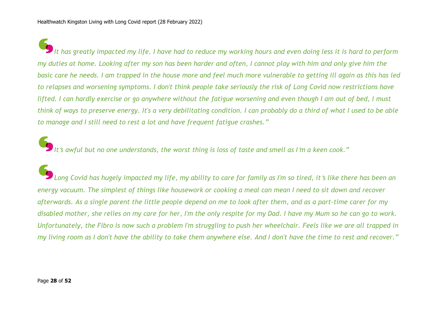*It has greatly impacted my life. I have had to reduce my working hours and even doing less it is hard to perform my duties at home. Looking after my son has been harder and often, I cannot play with him and only give him the basic care he needs. I am trapped in the house more and feel much more vulnerable to getting ill again as this has led to relapses and worsening symptoms. I don't think people take seriously the risk of Long Covid now restrictions have lifted. I can hardly exercise or go anywhere without the fatigue worsening and even though I am out of bed, I must think of ways to preserve energy. It's a very debilitating condition. I can probably do a third of what I used to be able to manage and I still need to rest a lot and have frequent fatigue crashes."*

*It*'*s awful but no one understands, the worst thing is loss of taste and smell as I*'*m a keen cook."*

*Long Covid has hugely impacted my life, my ability to care for family as I'm so tired, it*'*s like there has been an energy vacuum. The simplest of things like housework or cooking a meal can mean I need to sit down and recover afterwards. As a single parent the little people depend on me to look after them, and as a part-time carer for my disabled mother, she relies on my care for her, I'm the only respite for my Dad. I have my Mum so he can go to work. Unfortunately, the Fibro is now such a problem I'm struggling to push her wheelchair. Feels like we are all trapped in my living room as I don't have the ability to take them anywhere else. And I don't have the time to rest and recover."*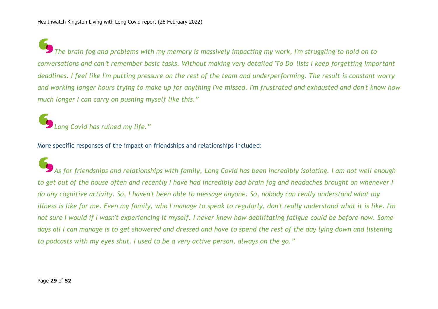*The brain fog and problems with my memory is massively impacting my work, I'm struggling to hold on to conversations and can*'*t remember basic tasks. Without making very detailed 'To Do' lists I keep forgetting important deadlines. I feel like I'm putting pressure on the rest of the team and underperforming. The result is constant worry and working longer hours trying to make up for anything I've missed. I'm frustrated and exhausted and don't know how much longer I can carry on pushing myself like this."*

# *Long Covid has ruined my life."*

More specific responses of the impact on friendships and relationships included:

*As for friendships and relationships with family, Long Covid has been incredibly isolating. I am not well enough to get out of the house often and recently I have had incredibly bad brain fog and headaches brought on whenever I do any cognitive activity. So, I haven't been able to message anyone. So, nobody can really understand what my illness is like for me. Even my family, who I manage to speak to regularly, don't really understand what it is like. I'm not sure I would if I wasn't experiencing it myself. I never knew how debilitating fatigue could be before now. Some days all I can manage is to get showered and dressed and have to spend the rest of the day lying down and listening to podcasts with my eyes shut. I used to be a very active person, always on the go."*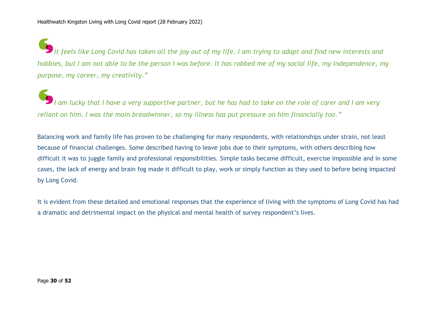*It feels like Long Covid has taken all the joy out of my life. I am trying to adapt and find new interests and hobbies, but I am not able to be the person I was before. It has robbed me of my social life, my independence, my purpose, my career, my creativity."*

*I am lucky that I have a very supportive partner, but he has had to take on the role of carer and I am very reliant on him. I was the main breadwinner, so my illness has put pressure on him financially too."*

Balancing work and family life has proven to be challenging for many respondents, with relationships under strain, not least because of financial challenges. Some described having to leave jobs due to their symptoms, with others describing how difficult it was to juggle family and professional responsibilities. Simple tasks became difficult, exercise impossible and in some cases, the lack of energy and brain fog made it difficult to play, work or simply function as they used to before being impacted by Long Covid.

It is evident from these detailed and emotional responses that the experience of living with the symptoms of Long Covid has had a dramatic and detrimental impact on the physical and mental health of survey respondent's lives.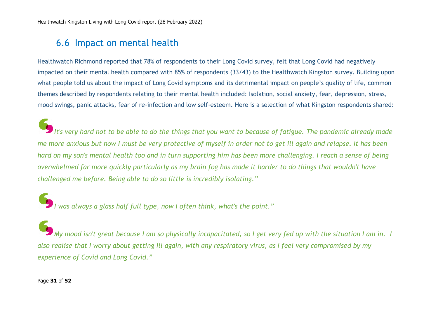### 6.6 Impact on mental health

Healthwatch Richmond reported that 78% of respondents to their Long Covid survey, felt that Long Covid had negatively impacted on their mental health compared with 85% of respondents (33/43) to the Healthwatch Kingston survey. Building upon what people told us about the impact of Long Covid symptoms and its detrimental impact on people's quality of life, common themes described by respondents relating to their mental health included: Isolation, social anxiety, fear, depression, stress, mood swings, panic attacks, fear of re-infection and low self-esteem. Here is a selection of what Kingston respondents shared:

*It's very hard not to be able to do the things that you want to because of fatigue. The pandemic already made me more anxious but now I must be very protective of myself in order not to get ill again and relapse. It has been hard on my son's mental health too and in turn supporting him has been more challenging. I reach a sense of being overwhelmed far more quickly particularly as my brain fog has made it harder to do things that wouldn't have challenged me before. Being able to do so little is incredibly isolating."*

*I was always a glass half full type, now I often think, what's the point."*

*My mood isn't great because I am so physically incapacitated, so I get very fed up with the situation I am in. I also realise that I worry about getting ill again, with any respiratory virus, as I feel very compromised by my experience of Covid and Long Covid."*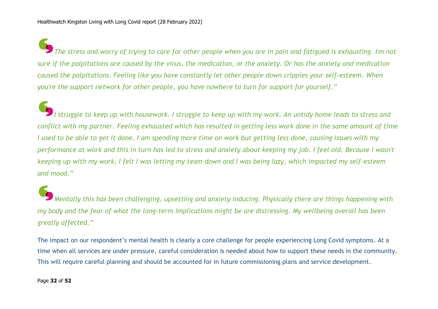*The stress and worry of trying to care for other people when you are in pain and fatigued is exhausting. I'm not sure if the palpitations are caused by the virus, the medication, or the anxiety. Or has the anxiety and medication caused the palpitations. Feeling like you have constantly let other people down cripples your self-esteem. When you're the support network for other people, you have nowhere to turn for support for yourself."*

*I struggle to keep up with housework. I struggle to keep up with my work. An untidy home leads to stress and conflict with my partner. Feeling exhausted which has resulted in getting less work done in the same amount of time I used to be able to get it done, I am spending more time on work but getting less done, causing issues with my performance at work and this in turn has led to stress and anxiety about keeping my job. I feel old. Because I wasn't keeping up with my work, I felt I was letting my team down and I was being lazy, which impacted my self-esteem and mood."*

*Mentally this has been challenging, upsetting and anxiety inducing. Physically there are things happening with my body and the fear of what the long-term implications might be are distressing. My wellbeing overall has been greatly affected."*

The impact on our respondent's mental health is clearly a core challenge for people experiencing Long Covid symptoms. At a time when all services are under pressure, careful consideration is needed about how to support these needs in the community. This will require careful planning and should be accounted for in future commissioning plans and service development.

Page **32** of **52**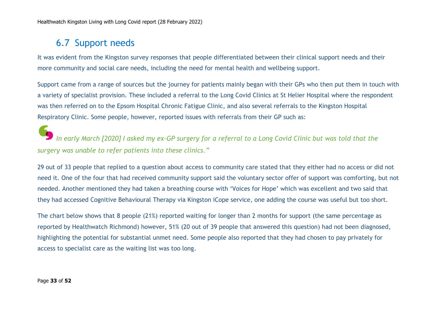### 6.7 Support needs

It was evident from the Kingston survey responses that people differentiated between their clinical support needs and their more community and social care needs, including the need for mental health and wellbeing support.

Support came from a range of sources but the journey for patients mainly began with their GPs who then put them in touch with a variety of specialist provision. These included a referral to the Long Covid Clinics at St Helier Hospital where the respondent was then referred on to the Epsom Hospital Chronic Fatigue Clinic, and also several referrals to the Kingston Hospital Respiratory Clinic. Some people, however, reported issues with referrals from their GP such as:

*In early March [2020] I asked my ex-GP surgery for a referral to a Long Covid Clinic but was told that the surgery was unable to refer patients into these clinics."*

29 out of 33 people that replied to a question about access to community care stated that they either had no access or did not need it. One of the four that had received community support said the voluntary sector offer of support was comforting, but not needed. Another mentioned they had taken a breathing course with 'Voices for Hope' which was excellent and two said that they had accessed Cognitive Behavioural Therapy via Kingston iCope service, one adding the course was useful but too short.

The chart below shows that 8 people (21%) reported waiting for longer than 2 months for support (the same percentage as reported by Healthwatch Richmond) however, 51% (20 out of 39 people that answered this question) had not been diagnosed, highlighting the potential for substantial unmet need. Some people also reported that they had chosen to pay privately for access to specialist care as the waiting list was too long.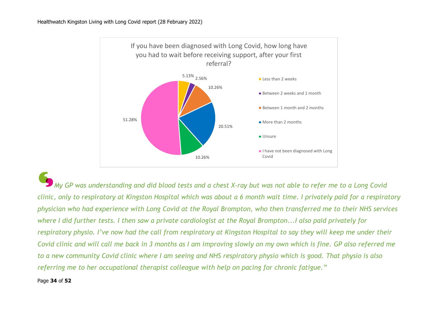

*My GP was understanding and did blood tests and a chest X-ray but was not able to refer me to a Long Covid clinic, only to respiratory at Kingston Hospital which was about a 6 month wait time. I privately paid for a respiratory physician who had experience with Long Covid at the Royal Brompton, who then transferred me to their NHS services where I did further tests. I then saw a private cardiologist at the Royal Brompton...I also paid privately for respiratory physio. I've now had the call from respiratory at Kingston Hospital to say they will keep me under their Covid clinic and will call me back in 3 months as I am improving slowly on my own which is fine. GP also referred me to a new community Covid clinic where I am seeing and NHS respiratory physio which is good. That physio is also referring me to her occupational therapist colleague with help on pacing for chronic fatigue."*

#### Page **34** of **52**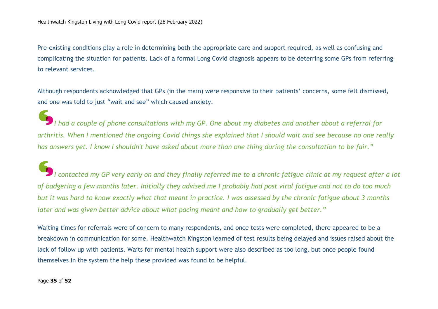Pre-existing conditions play a role in determining both the appropriate care and support required, as well as confusing and complicating the situation for patients. Lack of a formal Long Covid diagnosis appears to be deterring some GPs from referring to relevant services.

Although respondents acknowledged that GPs (in the main) were responsive to their patients' concerns, some felt dismissed, and one was told to just "wait and see" which caused anxiety.

*I had a couple of phone consultations with my GP. One about my diabetes and another about a referral for arthritis. When I mentioned the ongoing Covid things she explained that I should wait and see because no one really has answers yet. I know I shouldn't have asked about more than one thing during the consultation to be fair."*

*I contacted my GP very early on and they finally referred me to a chronic fatigue clinic at my request after a lot of badgering a few months later. Initially they advised me I probably had post viral fatigue and not to do too much but it was hard to know exactly what that meant in practice. I was assessed by the chronic fatigue about 3 months later and was given better advice about what pacing meant and how to gradually get better."*

Waiting times for referrals were of concern to many respondents, and once tests were completed, there appeared to be a breakdown in communication for some. Healthwatch Kingston learned of test results being delayed and issues raised about the lack of follow up with patients. Waits for mental health support were also described as too long, but once people found themselves in the system the help these provided was found to be helpful.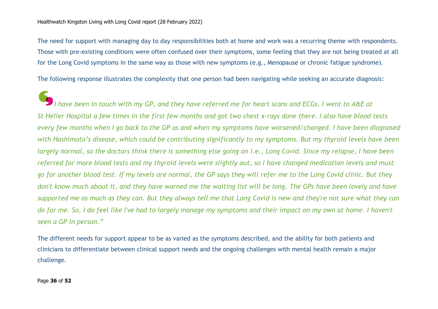The need for support with managing day to day responsibilities both at home and work was a recurring theme with respondents. Those with pre-existing conditions were often confused over their symptoms, some feeling that they are not being treated at all for the Long Covid symptoms in the same way as those with new symptoms (e.g., Menopause or chronic fatigue syndrome).

The following response illustrates the complexity that one person had been navigating while seeking an accurate diagnosis:

*I have been in touch with my GP, and they have referred me for heart scans and ECGs. I went to A&E at St Helier Hospital a few times in the first few months and got two chest x-rays done there. I also have blood tests every few months when I go back to the GP as and when my symptoms have worsened/changed. I have been diagnosed with Hashimoto's disease, which could be contributing significantly to my symptoms. But my thyroid levels have been largely normal, so the doctors think there is something else going on i.e., Long Covid. Since my relapse, I have been referred for more blood tests and my thyroid levels were slightly out, so I have changed medication levels and must go for another blood test. If my levels are normal, the GP says they will refer me to the Long Covid clinic. But they don't know much about it, and they have warned me the waiting list will be long. The GPs have been lovely and have supported me as much as they can. But they always tell me that Long Covid is new and they're not sure what they can do for me. So, I do feel like I've had to largely manage my symptoms and their impact on my own at home. I haven't seen a GP in person."*

The different needs for support appear to be as varied as the symptoms described, and the ability for both patients and clinicians to differentiate between clinical support needs and the ongoing challenges with mental health remain a major challenge.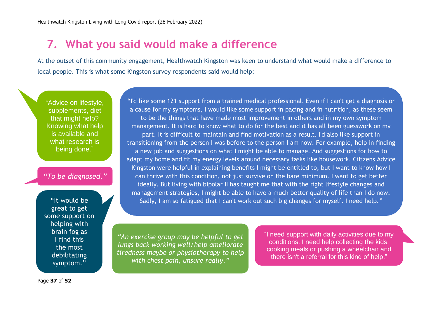## **7. What you said would make a difference**

At the outset of this community engagement, Healthwatch Kingston was keen to understand what would make a difference to local people. This is what some Kingston survey respondents said would help:

"Advice on lifestyle, supplements, diet that might help? Knowing what help is available and what research is being done."

#### *"To be diagnosed."*

"It would be great to get some support on helping with brain fog as I find this the most debilitating symptom."

"I'd like some 121 support from a trained medical professional. Even if I can't get a diagnosis or a cause for my symptoms, I would like some support in pacing and in nutrition, as these seem to be the things that have made most improvement in others and in my own symptom management. It is hard to know what to do for the best and it has all been guesswork on my part. It is difficult to maintain and find motivation as a result. I'd also like support in transitioning from the person I was before to the person I am now. For example, help in finding a new job and suggestions on what I might be able to manage. And suggestions for how to adapt my home and fit my energy levels around necessary tasks like housework. Citizens Advice Kingston were helpful in explaining benefits I might be entitled to, but I want to know how I can thrive with this condition, not just survive on the bare minimum. I want to get better ideally. But living with bipolar II has taught me that with the right lifestyle changes and management strategies, I might be able to have a much better quality of life than I do now. Sadly, I am so fatigued that I can't work out such big changes for myself. I need help."

*"An exercise group may be helpful to get lungs back working well/help ameliorate tiredness maybe or physiotherapy to help with chest pain, unsure really."*

"I need support with daily activities due to my conditions. I need help collecting the kids, cooking meals or pushing a wheelchair and there isn't a referral for this kind of help."

Page **37** of **52**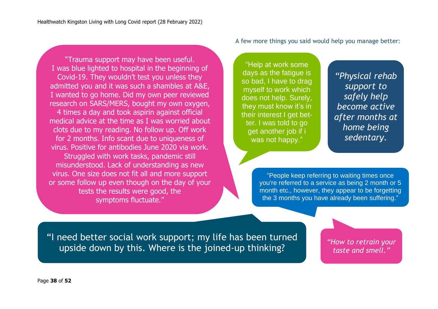"Trauma support may have been useful. I was blue lighted to hospital in the beginning of Covid-19. They wouldn't test you unless they admitted you and it was such a shambles at A&E, I wanted to go home. Did my own peer reviewed research on SARS/MERS, bought my own oxygen, 4 times a day and took aspirin against official medical advice at the time as I was worried about clots due to my reading. No follow up. Off work for 2 months. Info scant due to uniqueness of virus. Positive for antibodies June 2020 via work. Struggled with work tasks, pandemic still misunderstood. Lack of understanding as new virus. One size does not fit all and more support or some follow up even though on the day of your tests the results were good, the symptoms fluctuate."

A few more things you said would help you manage better:

"Help at work some days as the fatigue is so bad, I have to drag myself to work which does not help. Surely, they must know it's in their interest I get better. I was told to go get another job if i was not happy."

*"Physical rehab support to safely help become active after months at home being sedentary.*

"People keep referring to waiting times once you're referred to a service as being 2 month or 5 month etc., however, they appear to be forgetting the 3 months you have already been suffering."

I need support with daily activities due to my conditions. I need help collecting the kids, cooking meals or pushing a

"I need better social work support; my life has been turned upside down by this. Where is the joined-up thinking? where is the third and there is the third of the third and the third of help?

*"How to retrain your taste and smell."*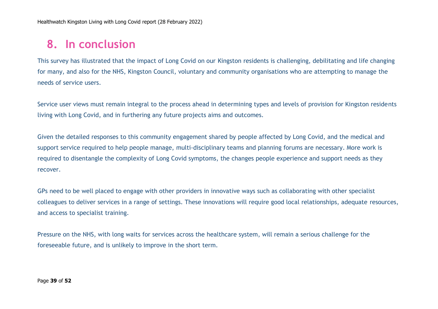# **8. In conclusion**

This survey has illustrated that the impact of Long Covid on our Kingston residents is challenging, debilitating and life changing for many, and also for the NHS, Kingston Council, voluntary and community organisations who are attempting to manage the needs of service users.

Service user views must remain integral to the process ahead in determining types and levels of provision for Kingston residents living with Long Covid, and in furthering any future projects aims and outcomes.

Given the detailed responses to this community engagement shared by people affected by Long Covid, and the medical and support service required to help people manage, multi-disciplinary teams and planning forums are necessary. More work is required to disentangle the complexity of Long Covid symptoms, the changes people experience and support needs as they recover.

GPs need to be well placed to engage with other providers in innovative ways such as collaborating with other specialist colleagues to deliver services in a range of settings. These innovations will require good local relationships, adequate resources, and access to specialist training.

Pressure on the NHS, with long waits for services across the healthcare system, will remain a serious challenge for the foreseeable future, and is unlikely to improve in the short term.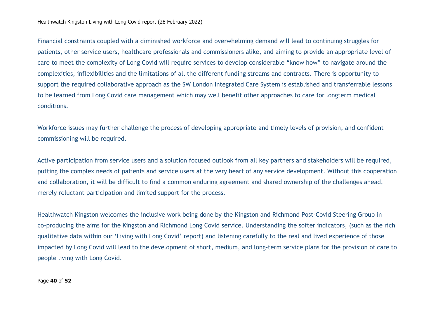Financial constraints coupled with a diminished workforce and overwhelming demand will lead to continuing struggles for patients, other service users, healthcare professionals and commissioners alike, and aiming to provide an appropriate level of care to meet the complexity of Long Covid will require services to develop considerable "know how" to navigate around the complexities, inflexibilities and the limitations of all the different funding streams and contracts. There is opportunity to support the required collaborative approach as the SW London Integrated Care System is established and transferrable lessons to be learned from Long Covid care management which may well benefit other approaches to care for longterm medical conditions.

Workforce issues may further challenge the process of developing appropriate and timely levels of provision, and confident commissioning will be required.

Active participation from service users and a solution focused outlook from all key partners and stakeholders will be required, putting the complex needs of patients and service users at the very heart of any service development. Without this cooperation and collaboration, it will be difficult to find a common enduring agreement and shared ownership of the challenges ahead, merely reluctant participation and limited support for the process.

Healthwatch Kingston welcomes the inclusive work being done by the Kingston and Richmond Post-Covid Steering Group in co-producing the aims for the Kingston and Richmond Long Covid service. Understanding the softer indicators, (such as the rich qualitative data within our 'Living with Long Covid' report) and listening carefully to the real and lived experience of those impacted by Long Covid will lead to the development of short, medium, and long-term service plans for the provision of care to people living with Long Covid.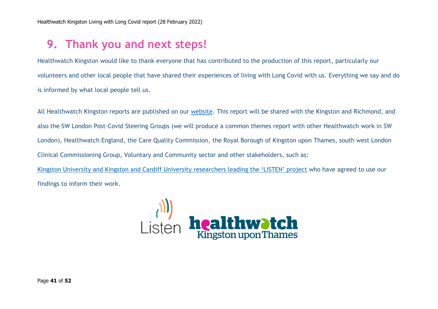# **9. Thank you and next steps!**

Healthwatch Kingston would like to thank everyone that has contributed to the production of this report, particularly our volunteers and other local people that have shared their experiences of living with Long Covid with us. Everything we say and do is informed by what local people tell us.

All Healthwatch Kingston reports are published on our [website.](http://www.healthwatchkingston.org.uk/) This report will be shared with the Kingston and Richmond, and also the SW London Post-Covid Steering Groups (we will produce a common themes report with other Healthwatch work in SW London), Healthwatch England, the Care Quality Commission, the Royal Borough of Kingston upon Thames, south west London Clinical Commissioning Group, Voluntary and Community sector and other stakeholders, such as: [Kingston University and Kingston and Cardiff University](https://www.kingston.ac.uk/research/research-showcase/research-case-studies/listen-long-covid/) researchers leading the 'LISTEN' project who have agreed to use our

findings to inform their work.

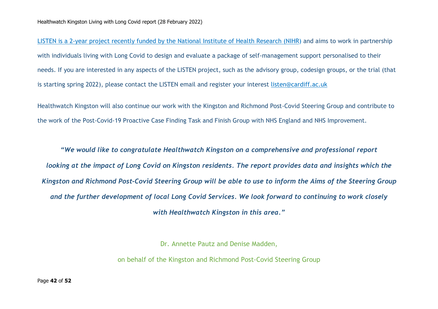LISTEN is a 2-year project recently funded by the National Institute of Health Research (NIHR) and aims to work in partnership with individuals living with Long Covid to design and evaluate a package of [self-management](https://www.nihr.ac.uk/news/196-million-awarded-to-new-research-studies-to-help-diagnose-and-treat-long-covid/28205) support personalised to their needs. If you are interested in any aspects of the LISTEN project, such as the advisory group, codesign groups, or the trial (that is starting spring 2022), please contact the LISTEN email and register your interest [listen@cardiff.ac.uk](mailto:listen@cardiff.ac.uk)

Healthwatch Kingston will also continue our work with the Kingston and Richmond Post-Covid Steering Group and contribute to the work of the Post-Covid-19 Proactive Case Finding Task and Finish Group with NHS England and NHS Improvement.

*"We would like to congratulate Healthwatch Kingston on a comprehensive and professional report looking at the impact of Long Covid on Kingston residents. The report provides data and insights which the Kingston and Richmond Post-Covid Steering Group will be able to use to inform the Aims of the Steering Group and the further development of local Long Covid Services. We look forward to continuing to work closely with Healthwatch Kingston in this area."*

Dr. Annette Pautz and Denise Madden,

on behalf of the Kingston and Richmond Post-Covid Steering Group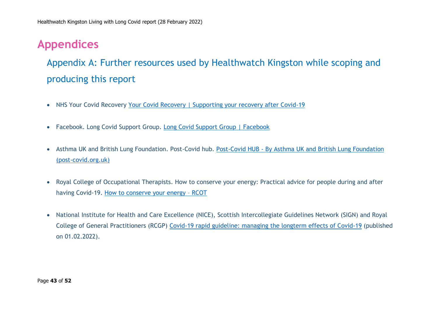# **Appendices**

Appendix A: Further resources used by Healthwatch Kingston while scoping and producing this report

- NHS Your Covid Recovery Your Covid [Recovery | Supporting your recovery after Covid-19](https://www.yourcovidrecovery.nhs.uk/)
- Facebook. Long Covid Support Group. [Long Covid Support Group | Facebook](https://www.facebook.com/groups/longcovid)
- Asthma UK and British Lung Foundation. Post-Covid hub. Post-Covid HUB [By Asthma UK and British Lung Foundation](https://www.post-covid.org.uk/)  [\(post-covid.org.uk\)](https://www.post-covid.org.uk/)
- Royal College of Occupational Therapists. How to conserve your energy: Practical advice for people during and after having Covid-19. [How to conserve your energy](https://www.rcot.co.uk/conserving-energy) – RCOT
- National Institute for Health and Care Excellence (NICE), Scottish Intercollegiate Guidelines Network (SIGN) and Royal College of General Practitioners (RCGP) [Covid-19 rapid guideline: managing the longterm effects of Covid-19](https://www.nice.org.uk/guidance/ng188/resources/covid19-rapid-guideline-managing-the-longterm-effects-of-covid19-pdf-51035515742) (published on 01.02.2022).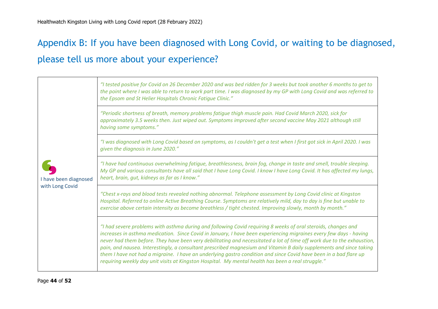# Appendix B: If you have been diagnosed with Long Covid, or waiting to be diagnosed, please tell us more about your experience?

| I have been diagnosed<br>with Long Covid | "I tested positive for Covid on 26 December 2020 and was bed ridden for 3 weeks but took another 6 months to get to<br>the point where I was able to return to work part time. I was diagnosed by my GP with Long Covid and was referred to<br>the Epsom and St Helier Hospitals Chronic Fatigue Clinic."                                                                                                                                                                                                                                                                                                                                                                                                       |
|------------------------------------------|-----------------------------------------------------------------------------------------------------------------------------------------------------------------------------------------------------------------------------------------------------------------------------------------------------------------------------------------------------------------------------------------------------------------------------------------------------------------------------------------------------------------------------------------------------------------------------------------------------------------------------------------------------------------------------------------------------------------|
|                                          | "Periodic shortness of breath, memory problems fatigue thigh muscle pain. Had Covid March 2020, sick for<br>approximately 3.5 weeks then. Just wiped out. Symptoms improved after second vaccine May 2021 although still<br>having some symptoms."                                                                                                                                                                                                                                                                                                                                                                                                                                                              |
|                                          | "I was diagnosed with Long Covid based on symptoms, as I couldn't get a test when I first got sick in April 2020. I was<br>given the diagnosis in June 2020."                                                                                                                                                                                                                                                                                                                                                                                                                                                                                                                                                   |
|                                          | "I have had continuous overwhelming fatigue, breathlessness, brain fog, change in taste and smell, trouble sleeping.<br>My GP and various consultants have all said that I have Long Covid. I know I have Long Covid. It has affected my lungs,<br>heart, brain, gut, kidneys as far as I know."                                                                                                                                                                                                                                                                                                                                                                                                                |
|                                          | "Chest x-rays and blood tests revealed nothing abnormal. Telephone assessment by Long Covid clinic at Kingston<br>Hospital. Referred to online Active Breathing Course. Symptoms are relatively mild, day to day is fine but unable to<br>exercise above certain intensity as become breathless / tight chested. Improving slowly, month by month."                                                                                                                                                                                                                                                                                                                                                             |
|                                          | "I had severe problems with asthma during and following Covid requiring 8 weeks of oral steroids, changes and<br>increases in asthma medication. Since Covid in January, I have been experiencing migraines every few days - having<br>never had them before. They have been very debilitating and necessitated a lot of time off work due to the exhaustion,<br>pain, and nausea. Interestingly, a consultant prescribed magnesium and Vitamin B daily supplements and since taking<br>them I have not had a migraine. I have an underlying gastro condition and since Covid have been in a bad flare up<br>requiring weekly day unit visits at Kingston Hospital. My mental health has been a real struggle." |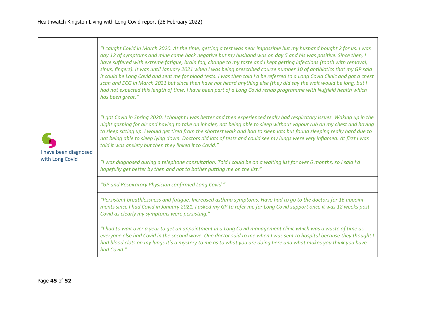| I have been diagnosed<br>with Long Covid | "I caught Covid in March 2020. At the time, getting a test was near impossible but my husband bought 2 for us. I was<br>day 12 of symptoms and mine came back negative but my husband was on day 5 and his was positive. Since then, I<br>have suffered with extreme fatigue, brain fog, change to my taste and I kept getting infections (tooth with removal,<br>sinus, fingers). It was until January 2021 when I was being prescribed course number 10 of antibiotics that my GP said<br>it could be Long Covid and sent me for blood tests. I was then told I'd be referred to a Long Covid Clinic and got a chest<br>scan and ECG in March 2021 but since then have not heard anything else (they did say the wait would be long, but I<br>had not expected this length of time. I have been part of a Long Covid rehab programme with Nuffield health which<br>has been great." |
|------------------------------------------|---------------------------------------------------------------------------------------------------------------------------------------------------------------------------------------------------------------------------------------------------------------------------------------------------------------------------------------------------------------------------------------------------------------------------------------------------------------------------------------------------------------------------------------------------------------------------------------------------------------------------------------------------------------------------------------------------------------------------------------------------------------------------------------------------------------------------------------------------------------------------------------|
|                                          | "I got Covid in Spring 2020. I thought I was better and then experienced really bad respiratory issues. Waking up in the<br>night gasping for air and having to take an inhaler, not being able to sleep without vapour rub on my chest and having<br>to sleep sitting up. I would get tired from the shortest walk and had to sleep lots but found sleeping really hard due to<br>not being able to sleep lying down. Doctors did lots of tests and could see my lungs were very inflamed. At first I was<br>told it was anxiety but then they linked it to Covid."                                                                                                                                                                                                                                                                                                                  |
|                                          | "I was diagnosed during a telephone consultation. Told I could be on a waiting list for over 6 months, so I said I'd<br>hopefully get better by then and not to bother putting me on the list."                                                                                                                                                                                                                                                                                                                                                                                                                                                                                                                                                                                                                                                                                       |
|                                          | "GP and Respiratory Physician confirmed Long Covid."                                                                                                                                                                                                                                                                                                                                                                                                                                                                                                                                                                                                                                                                                                                                                                                                                                  |
|                                          | "Persistent breathlessness and fatigue. Increased asthma symptoms. Have had to go to the doctors for 16 appoint-<br>ments since I had Covid in January 2021, I asked my GP to refer me for Long Covid support once it was 12 weeks post<br>Covid as clearly my symptoms were persisting."                                                                                                                                                                                                                                                                                                                                                                                                                                                                                                                                                                                             |
|                                          | "I had to wait over a year to get an appointment in a Long Covid management clinic which was a waste of time as<br>everyone else had Covid in the second wave. One doctor said to me when I was sent to hospital because they thought I<br>had blood clots on my lungs it's a mystery to me as to what you are doing here and what makes you think you have<br>had Covid."                                                                                                                                                                                                                                                                                                                                                                                                                                                                                                            |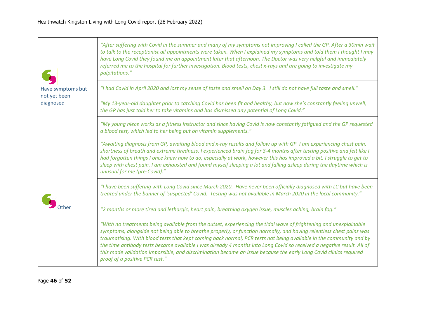| Have symptoms but<br>not yet been<br>diagnosed | "After suffering with Covid in the summer and many of my symptoms not improving I called the GP. After a 30min wait<br>to talk to the receptionist all appointments were taken. When I explained my symptoms and told them I thought I may<br>have Long Covid they found me an appointment later that afternoon. The Doctor was very helpful and immediately<br>referred me to the hospital for further investigation. Blood tests, chest x-rays and are going to investigate my<br>palpitations."                                                                                                                                             |
|------------------------------------------------|------------------------------------------------------------------------------------------------------------------------------------------------------------------------------------------------------------------------------------------------------------------------------------------------------------------------------------------------------------------------------------------------------------------------------------------------------------------------------------------------------------------------------------------------------------------------------------------------------------------------------------------------|
|                                                | "I had Covid in April 2020 and lost my sense of taste and smell on Day 3. I still do not have full taste and smell."                                                                                                                                                                                                                                                                                                                                                                                                                                                                                                                           |
|                                                | "My 13-year-old daughter prior to catching Covid has been fit and healthy, but now she's constantly feeling unwell,<br>the GP has just told her to take vitamins and has dismissed any potential of Long Covid."                                                                                                                                                                                                                                                                                                                                                                                                                               |
|                                                | "My young niece works as a fitness instructor and since having Covid is now constantly fatigued and the GP requested<br>a blood test, which led to her being put on vitamin supplements."                                                                                                                                                                                                                                                                                                                                                                                                                                                      |
|                                                | "Awaiting diagnosis from GP, awaiting blood and x-ray results and follow up with GP. I am experiencing chest pain,<br>shortness of breath and extreme tiredness. I experienced brain fog for 3-4 months after testing positive and felt like I<br>had forgotten things I once knew how to do, especially at work, however this has improved a bit. I struggle to get to<br>sleep with chest pain. I am exhausted and found myself sleeping a lot and falling asleep during the daytime which is<br>unusual for me (pre-Covid)."                                                                                                                |
|                                                | "I have been suffering with Long Covid since March 2020. Have never been officially diagnosed with LC but have been<br>treated under the banner of 'suspected' Covid. Testing was not available in March 2020 in the local community."                                                                                                                                                                                                                                                                                                                                                                                                         |
|                                                | "2 months or more tired and lethargic, heart pain, breathing oxygen issue, muscles aching, brain fog."                                                                                                                                                                                                                                                                                                                                                                                                                                                                                                                                         |
|                                                | "With no treatments being available from the outset, experiencing the tidal wave of frightening and unexplainable<br>symptoms, alongside not being able to breathe properly, or function normally, and having relentless chest pains was<br>traumatising. With blood tests that kept coming back normal, PCR tests not being available in the community and by<br>the time antibody tests became available I was already 4 months into Long Covid so received a negative result. All of<br>this made validation impossible, and discrimination became an issue because the early Long Covid clinics required<br>proof of a positive PCR test." |

 $\overline{\phantom{0}}$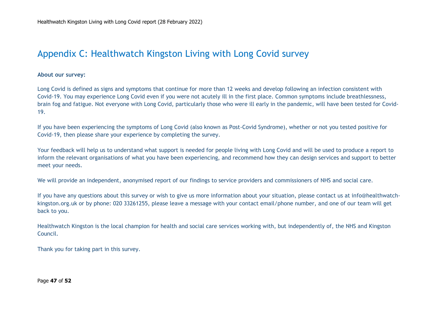### Appendix C: Healthwatch Kingston Living with Long Covid survey

**About our survey:**

Long Covid is defined as signs and symptoms that continue for more than 12 weeks and develop following an infection consistent with Covid-19. You may experience Long Covid even if you were not acutely ill in the first place. Common symptoms include breathlessness, brain fog and fatigue. Not everyone with Long Covid, particularly those who were ill early in the pandemic, will have been tested for Covid-19.

If you have been experiencing the symptoms of Long Covid (also known as Post-Covid Syndrome), whether or not you tested positive for Covid-19, then please share your experience by completing the survey.

Your feedback will help us to understand what support is needed for people living with Long Covid and will be used to produce a report to inform the relevant organisations of what you have been experiencing, and recommend how they can design services and support to better meet your needs.

We will provide an independent, anonymised report of our findings to service providers and commissioners of NHS and social care.

If you have any questions about this survey or wish to give us more information about your situation, please contact us at info@healthwatchkingston.org.uk or by phone: 020 33261255, please leave a message with your contact email/phone number, and one of our team will get back to you.

Healthwatch Kingston is the local champion for health and social care services working with, but independently of, the NHS and Kingston Council.

Thank you for taking part in this survey.

Page **47** of **52**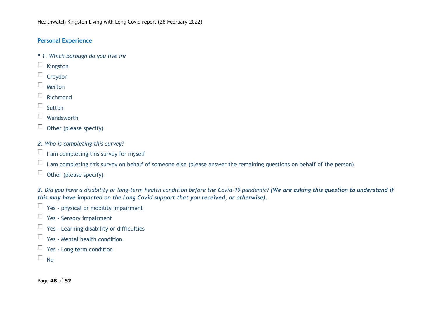#### **Personal Experience**

- *\* 1. Which borough do you live in?*
- $\Box$  Kingston
- $\Box$  Croydon
- $\Box$  Merton
- $\Box$  Richmond
- $\Box$  Sutton
- $\Box$  Wandsworth
- $\Box$  Other (please specify)
- *2. Who is completing this survey?*
- $\Box$  I am completing this survey for myself
- $\Box$  I am completing this survey on behalf of someone else (please answer the remaining questions on behalf of the person)
- $\Box$  Other (please specify)

3. Did you have a disability or long-term health condition before the Covid-19 pandemic? (We are asking this question to understand if *this may have impacted on the Long Covid support that you received, or otherwise).*

- $\Box$  Yes physical or mobility impairment
- Yes Sensory impairment
- $\Box$  Yes Learning disability or difficulties
- $\Box$  Yes Mental health condition
- $\Box$  Yes Long term condition
- $\Box$  No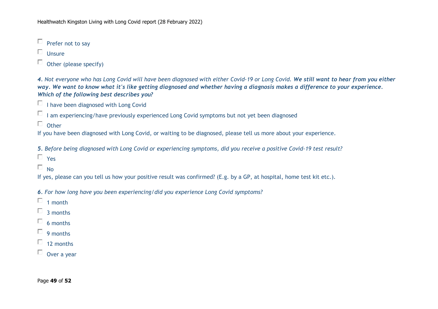$\Box$  Prefer not to say

 $\Box$  Unsure

 $\Box$  Other (please specify)

4. Not everyone who has Long Covid will have been diagnosed with either Covid-19 or Long Covid. We still want to hear from you either way. We want to know what it's like getting diagnosed and whether having a diagnosis makes a difference to your experience. *Which of the following best describes you?*

 $\Box$  I have been diagnosed with Long Covid

 $\Box$  I am experiencing/have previously experienced Long Covid symptoms but not yet been diagnosed

 $\Box$  Other

If you have been diagnosed with Long Covid, or waiting to be diagnosed, please tell us more about your experience.

5. Before being diagnosed with Long Covid or experiencing symptoms, did you receive a positive Covid-19 test result?

 $\Box$  Yes

 $\Box$  No

If yes, please can you tell us how your positive result was confirmed? (E.g. by a GP, at hospital, home test kit etc.).

*6. For how long have you been experiencing/did you experience Long Covid symptoms?*

 $\Box$  1 month

- $\Box$  3 months
- $\Box$  6 months
- $\Box$  9 months
- $\Box$  12 months
- $\Box$  Over a year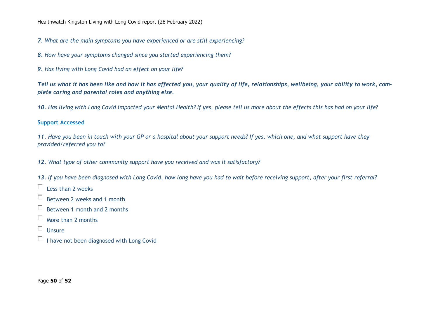*7. What are the main symptoms you have experienced or are still experiencing?*

- *8. How have your symptoms changed since you started experiencing them?*
- *9. Has living with Long Covid had an effect on your life?*

Tell us what it has been like and how it has affected you, your quality of life, relationships, wellbeing, your ability to work, com*plete caring and parental roles and anything else.*

10. Has living with Long Covid impacted your Mental Health? If yes, please tell us more about the effects this has had on your life?

#### **Support Accessed**

*11. Have you been in touch with your GP or a hospital about your support needs? If yes, which one, and what support have they provided/referred you to?*

*12. What type of other community support have you received and was it satisfactory?*

*13. If you have been diagnosed with Long Covid, how long have you had to wait before receiving support, after your first referral?*

- $\Box$  Less than 2 weeks
- □ Between 2 weeks and 1 month
- $\Box$  Between 1 month and 2 months
- $\Box$  More than 2 months
- $\Box$  Unsure
- $\Box$  I have not been diagnosed with Long Covid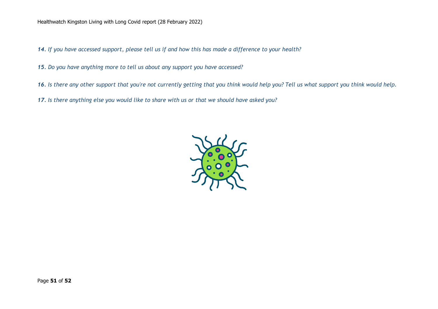*14. If you have accessed support, please tell us if and how this has made a difference to your health?*

*15. Do you have anything more to tell us about any support you have accessed?*

*16. Is there any other support that you're not currently getting that you think would help you? Tell us what support you think would help.*

*17. Is there anything else you would like to share with us or that we should have asked you?*